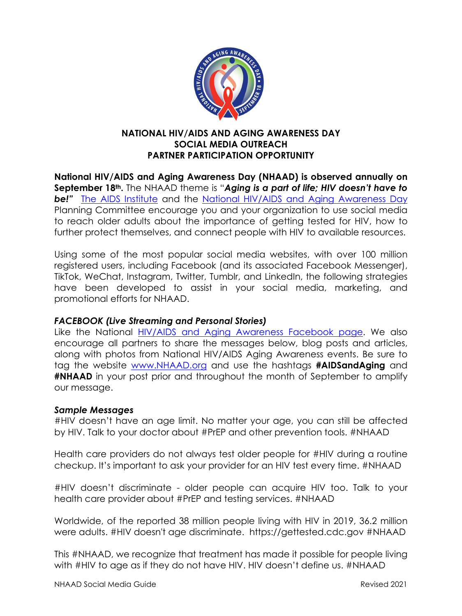

# **NATIONAL HIV/AIDS AND AGING AWARENESS DAY SOCIAL MEDIA OUTREACH PARTNER PARTICIPATION OPPORTUNITY**

**National HIV/AIDS and Aging Awareness Day (NHAAD) is observed annually on September 18th.** The NHAAD theme is "*Aging is a part of life; HIV doesn't have to*  **be!**" [The AIDS Institute](http://www.theaidsinstitute.org/) and the [National HIV/AIDS and Aging Awareness Day](http://www.nhaad.org/) Planning Committee encourage you and your organization to use social media to reach older adults about the importance of getting tested for HIV, how to further protect themselves, and connect people with HIV to available resources.

Using some of the most popular social media websites, with over 100 million registered users, including Facebook (and its associated Facebook Messenger), TikTok, WeChat, Instagram, Twitter, Tumblr, and LinkedIn, the following strategies have been developed to assist in your social media, marketing, and promotional efforts for NHAAD.

## *FACEBOOK (Live Streaming and Personal Stories)*

Like the National [HIV/AIDS and Aging Awareness Facebook page.](https://www.facebook.com/pages/National-HIVAIDS-and-Aging-Awareness-Day-NHAAAD/106557336057829?ref=hl) We also encourage all partners to share the messages below, blog posts and articles, along with photos from National HIV/AIDS Aging Awareness events. Be sure to tag the website [www.NHAAD.org](http://www.nhaad.org/) and use the hashtags **#AIDSandAging** and **#NHAAD** in your post prior and throughout the month of September to amplify our message.

## *Sample Messages*

#HIV doesn't have an age limit. No matter your age, you can still be affected by HIV. Talk to your doctor about #PrEP and other prevention tools. #NHAAD

Health care providers do not always test older people for #HIV during a routine checkup. It's important to ask your provider for an HIV test every time. #NHAAD

#HIV doesn't discriminate - older people can acquire HIV too. Talk to your health care provider about #PrEP and testing services. #NHAAD

Worldwide, of the reported 38 million people living with HIV in 2019, 36.2 million were adults. #HIV doesn't age discriminate. https://gettested.cdc.gov #NHAAD

This #NHAAD, we recognize that treatment has made it possible for people living with #HIV to age as if they do not have HIV. HIV doesn't define us. #NHAAD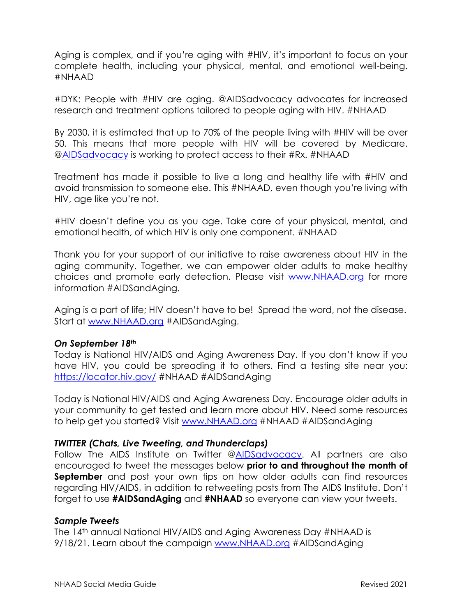Aging is complex, and if you're aging with #HIV, it's important to focus on your complete health, including your physical, mental, and emotional well-being. #NHAAD

#DYK: People with #HIV are aging. @AIDSadvocacy advocates for increased research and treatment options tailored to people aging with HIV. #NHAAD

By 2030, it is estimated that up to 70% of the people living with #HIV will be over 50. This means that more people with HIV will be covered by Medicare. [@AIDSadvocacy](https://twitter.com/AIDSadvocacy) is working to protect access to their #Rx. #NHAAD

Treatment has made it possible to live a long and healthy life with #HIV and avoid transmission to someone else. This #NHAAD, even though you're living with HIV, age like you're not.

#HIV doesn't define you as you age. Take care of your physical, mental, and emotional health, of which HIV is only one component. #NHAAD

Thank you for your support of our initiative to raise awareness about HIV in the aging community. Together, we can empower older adults to make healthy choices and promote early detection. Please visit [www.NHAAD.org](http://www.nhaad.org/) for more information #AIDSandAging.

Aging is a part of life; HIV doesn't have to be! Spread the word, not the disease. Start at [www.NHAAD.org](http://www.nhaad.org/) #AIDSandAging.

## *On September 18th*

Today is National HIV/AIDS and Aging Awareness Day. If you don't know if you have HIV, you could be spreading it to others. Find a testing site near you: <https://locator.hiv.gov/> #NHAAD #AIDSandAging

Today is National HIV/AIDS and Aging Awareness Day. Encourage older adults in your community to get tested and learn more about HIV. Need some resources to help get you started? Visit [www.NHAAD.org](http://www.nhaad.org/) #NHAAD #AIDSandAging

## *TWITTER (Chats, Live Tweeting, and Thunderclaps)*

Follow The AIDS Institute on Twitter [@AIDSadvocacy.](https://twitter.com/AIDSadvocacy) All partners are also encouraged to tweet the messages below **prior to and throughout the month of September** and post your own tips on how older adults can find resources regarding HIV/AIDS, in addition to retweeting posts from The AIDS Institute. Don't forget to use **#AIDSandAging** and **#NHAAD** so everyone can view your tweets.

## *Sample Tweets*

The 14<sup>th</sup> annual National HIV/AIDS and Aging Awareness Day #NHAAD is 9/18/21. Learn about the campaign [www.NHAAD.org](http://www.nhaaad.org/) #AIDSandAging